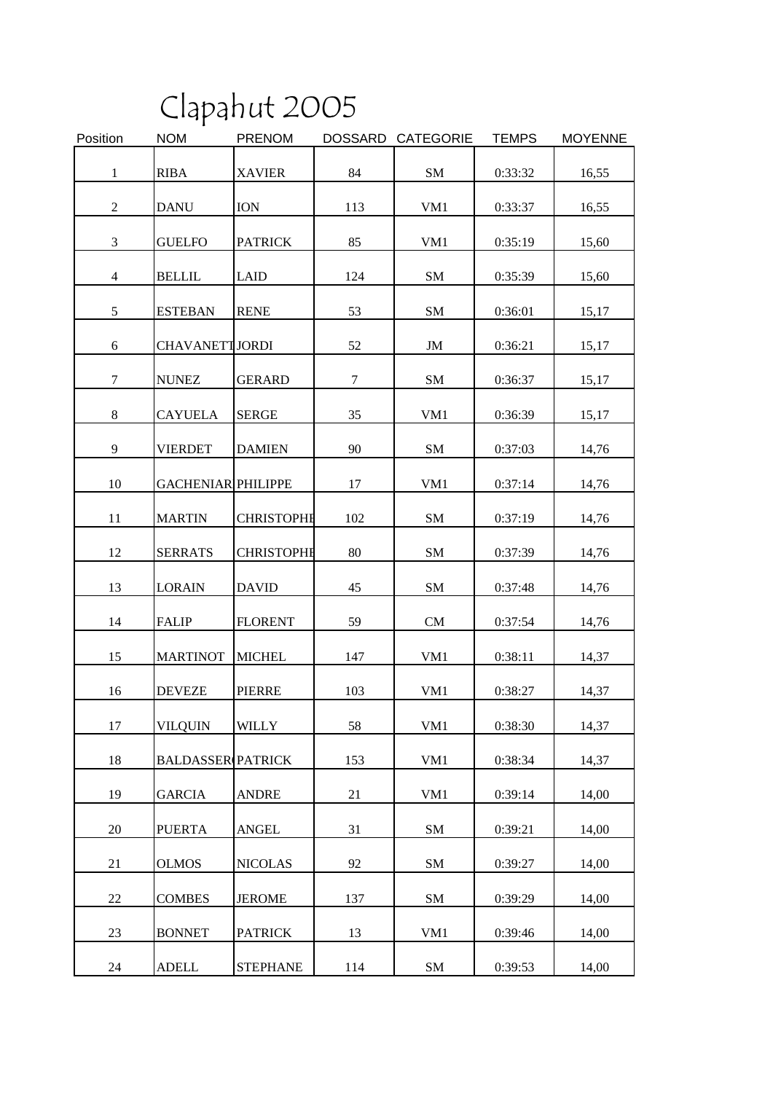|                |                           | Clapahut 2005     |                |                  |              |                |
|----------------|---------------------------|-------------------|----------------|------------------|--------------|----------------|
| Position       | <b>NOM</b>                | <b>PRENOM</b>     | <b>DOSSARD</b> | <b>CATEGORIE</b> | <b>TEMPS</b> | <b>MOYENNE</b> |
| 1              | <b>RIBA</b>               | <b>XAVIER</b>     | 84             | <b>SM</b>        | 0:33:32      | 16,55          |
| 2              | <b>DANU</b>               | <b>ION</b>        | 113            | VM1              | 0:33:37      | 16,55          |
| 3              | <b>GUELFO</b>             | <b>PATRICK</b>    | 85             | VM1              | 0:35:19      | 15,60          |
| $\overline{4}$ | <b>BELLIL</b>             | <b>LAID</b>       | 124            | <b>SM</b>        | 0:35:39      | 15,60          |
| 5              | <b>ESTEBAN</b>            | <b>RENE</b>       | 53             | <b>SM</b>        | 0:36:01      | 15,17          |
| 6              | <b>CHAVANETTJORDI</b>     |                   | 52             | JM               | 0:36:21      | 15,17          |
| 7              | <b>NUNEZ</b>              | <b>GERARD</b>     | $\tau$         | <b>SM</b>        | 0:36:37      | 15,17          |
| 8              | <b>CAYUELA</b>            | <b>SERGE</b>      | 35             | VM1              | 0:36:39      | 15,17          |
| 9              | <b>VIERDET</b>            | <b>DAMIEN</b>     | 90             | <b>SM</b>        | 0:37:03      | 14,76          |
| 10             | <b>GACHENIAR PHILIPPE</b> |                   | 17             | VM1              | 0:37:14      | 14,76          |
| 11             | <b>MARTIN</b>             | <b>CHRISTOPHE</b> | 102            | <b>SM</b>        | 0:37:19      | 14,76          |
| 12             | <b>SERRATS</b>            | <b>CHRISTOPHE</b> | 80             | <b>SM</b>        | 0:37:39      | 14,76          |
| 13             | <b>LORAIN</b>             | <b>DAVID</b>      | 45             | <b>SM</b>        | 0:37:48      | 14,76          |
| 14             | <b>FALIP</b>              | <b>FLORENT</b>    | 59             | <b>CM</b>        | 0:37:54      | 14,76          |
| 15             | <b>MARTINOT</b>           | <b>MICHEL</b>     | 147            | VM1              | 0:38:11      | 14,37          |
| 16             | <b>DEVEZE</b>             | <b>PIERRE</b>     | 103            | VM1              | 0:38:27      | 14,37          |
| 17             | <b>VILQUIN</b>            | <b>WILLY</b>      | 58             | VM1              | 0:38:30      | 14,37          |
| 18             | <b>BALDASSER PATRICK</b>  |                   | 153            | VM1              | 0:38:34      | 14,37          |
| 19             | <b>GARCIA</b>             | <b>ANDRE</b>      | 21             | VM1              | 0:39:14      | 14,00          |
| 20             | <b>PUERTA</b>             | <b>ANGEL</b>      | 31             | ${\bf SM}$       | 0:39:21      | 14,00          |
| 21             | <b>OLMOS</b>              | <b>NICOLAS</b>    | 92             | SM               | 0:39:27      | 14,00          |
| 22             | <b>COMBES</b>             | <b>JEROME</b>     | 137            | SM               | 0:39:29      | 14,00          |
| 23             | <b>BONNET</b>             | <b>PATRICK</b>    | 13             | VM1              | 0:39:46      | 14,00          |
| 24             | <b>ADELL</b>              | <b>STEPHANE</b>   | 114            | SM               | 0:39:53      | 14,00          |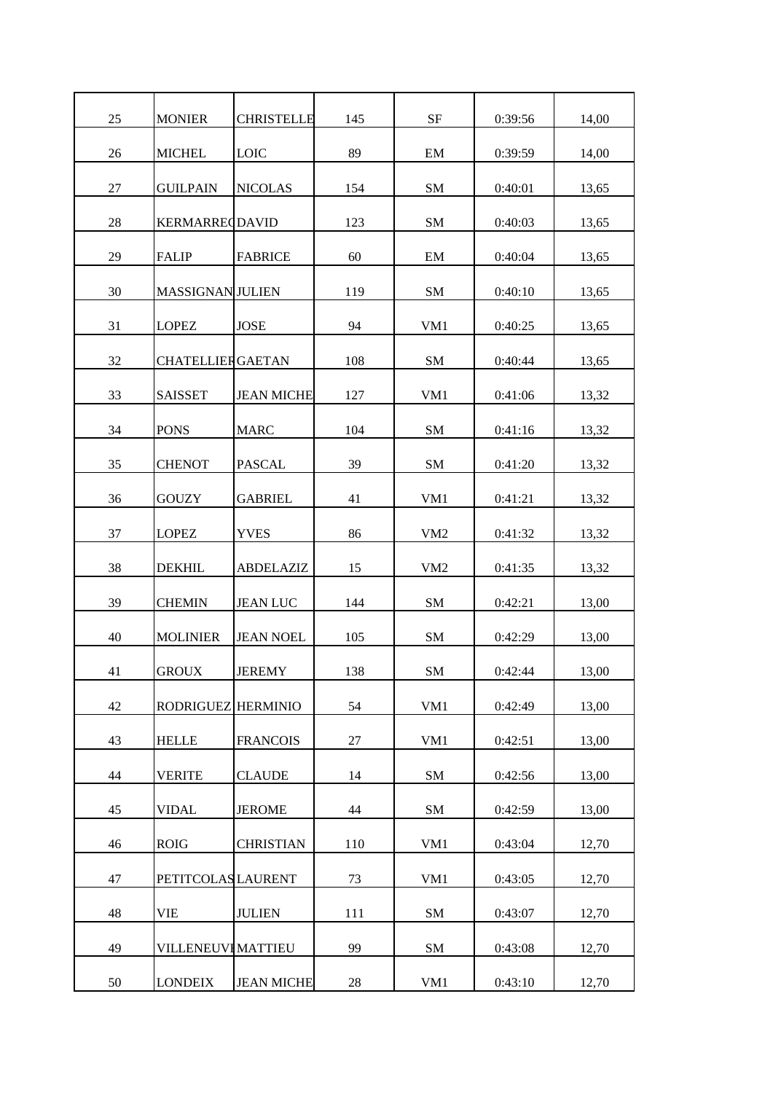| 25 | <b>MONIER</b>             | <b>CHRISTELLE</b> | 145 | <b>SF</b>       | 0:39:56 | 14,00 |
|----|---------------------------|-------------------|-----|-----------------|---------|-------|
| 26 | <b>MICHEL</b>             | <b>LOIC</b>       | 89  | EM              | 0:39:59 | 14,00 |
| 27 | <b>GUILPAIN</b>           | <b>NICOLAS</b>    | 154 | SM              | 0:40:01 | 13,65 |
| 28 | <b>KERMARRECDAVID</b>     |                   | 123 | SM              | 0:40:03 | 13,65 |
| 29 | <b>FALIP</b>              | <b>FABRICE</b>    | 60  | EM              | 0:40:04 | 13,65 |
| 30 | <b>MASSIGNAN JULIEN</b>   |                   | 119 | <b>SM</b>       | 0:40:10 | 13,65 |
| 31 | <b>LOPEZ</b>              | <b>JOSE</b>       | 94  | VM1             | 0:40:25 | 13,65 |
| 32 | <b>CHATELLIERGAETAN</b>   |                   | 108 | <b>SM</b>       | 0:40:44 | 13,65 |
| 33 | <b>SAISSET</b>            | <b>JEAN MICHE</b> | 127 | VM1             | 0:41:06 | 13,32 |
| 34 | <b>PONS</b>               | <b>MARC</b>       | 104 | <b>SM</b>       | 0:41:16 | 13,32 |
| 35 | <b>CHENOT</b>             | <b>PASCAL</b>     | 39  | SM              | 0:41:20 | 13,32 |
| 36 | <b>GOUZY</b>              | <b>GABRIEL</b>    | 41  | VM <sub>1</sub> | 0:41:21 | 13,32 |
| 37 | <b>LOPEZ</b>              | <b>YVES</b>       | 86  | VM <sub>2</sub> | 0:41:32 | 13,32 |
| 38 | <b>DEKHIL</b>             | <b>ABDELAZIZ</b>  | 15  | VM <sub>2</sub> | 0:41:35 | 13,32 |
| 39 | <b>CHEMIN</b>             | <b>JEAN LUC</b>   | 144 | <b>SM</b>       | 0:42:21 | 13,00 |
| 40 | <b>MOLINIER</b>           | <b>JEAN NOEL</b>  | 105 | SM              | 0:42:29 | 13,00 |
| 41 | <b>GROUX</b>              | <b>JEREMY</b>     | 138 | <b>SM</b>       | 0:42:44 | 13,00 |
| 42 | RODRIGUEZ HERMINIO        |                   | 54  | VM1             | 0:42:49 | 13,00 |
| 43 | <b>HELLE</b>              | <b>FRANCOIS</b>   | 27  | VM1             | 0:42:51 | 13,00 |
| 44 | <b>VERITE</b>             | <b>CLAUDE</b>     | 14  | SM              | 0:42:56 | 13,00 |
| 45 | <b>VIDAL</b>              | <b>JEROME</b>     | 44  | SM              | 0:42:59 | 13,00 |
| 46 | <b>ROIG</b>               | <b>CHRISTIAN</b>  | 110 | VM1             | 0:43:04 | 12,70 |
| 47 | <b>PETITCOLAS LAURENT</b> |                   | 73  | VM1             | 0:43:05 | 12,70 |
| 48 | VIE                       | <b>JULIEN</b>     | 111 | SM              | 0:43:07 | 12,70 |
| 49 | <b>VILLENEUVI MATTIEU</b> |                   | 99  | SM              | 0:43:08 | 12,70 |
| 50 | <b>LONDEIX</b>            | <b>JEAN MICHE</b> | 28  | VM1             | 0:43:10 | 12,70 |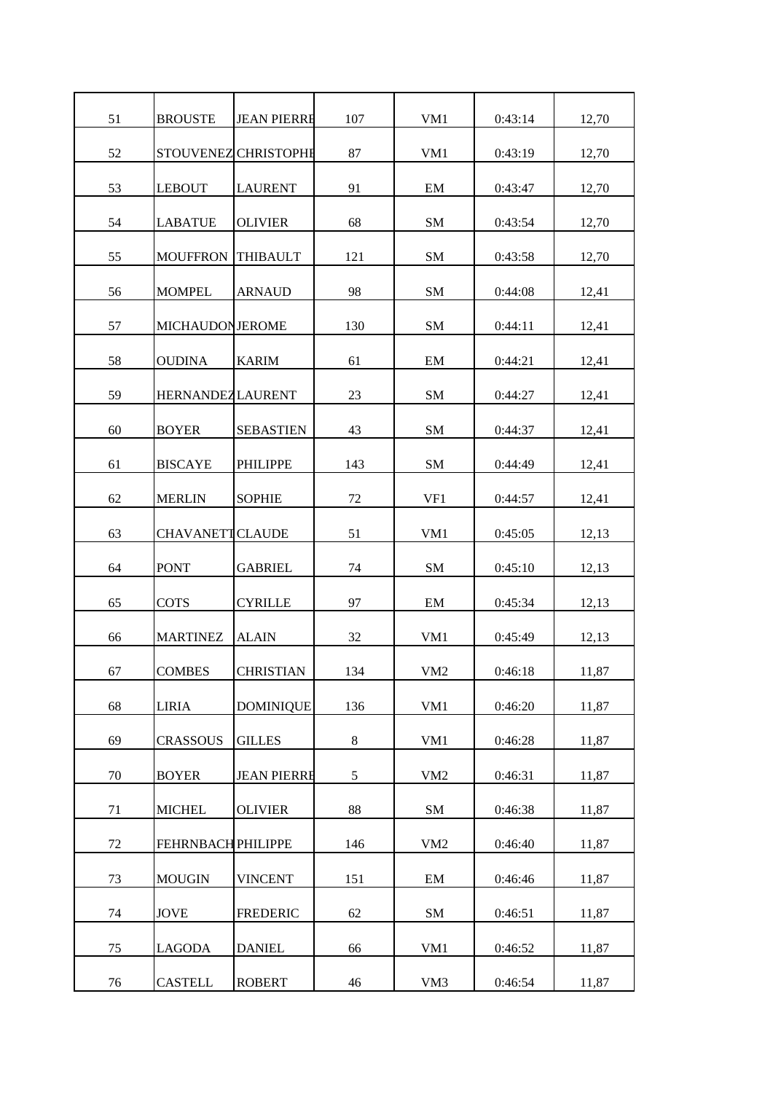| 51 | <b>BROUSTE</b>            | <b>JEAN PIERRE</b>   | 107   | VM1             | 0:43:14 | 12,70 |
|----|---------------------------|----------------------|-------|-----------------|---------|-------|
| 52 |                           | STOUVENEZ CHRISTOPHE | 87    | VM1             | 0:43:19 | 12,70 |
| 53 | <b>LEBOUT</b>             | <b>LAURENT</b>       | 91    | EM              | 0:43:47 | 12,70 |
| 54 | <b>LABATUE</b>            | <b>OLIVIER</b>       | 68    | <b>SM</b>       | 0:43:54 | 12,70 |
| 55 | <b>MOUFFRON</b>           | <b>THIBAULT</b>      | 121   | <b>SM</b>       | 0:43:58 | 12,70 |
| 56 | <b>MOMPEL</b>             | <b>ARNAUD</b>        | 98    | <b>SM</b>       | 0:44:08 | 12,41 |
| 57 | <b>MICHAUDONJEROME</b>    |                      | 130   | SM              | 0:44:11 | 12,41 |
| 58 | <b>OUDINA</b>             | <b>KARIM</b>         | 61    | EM              | 0:44:21 | 12,41 |
| 59 | <b>HERNANDEZ LAURENT</b>  |                      | 23    | SM              | 0:44:27 | 12,41 |
| 60 | <b>BOYER</b>              | <b>SEBASTIEN</b>     | 43    | <b>SM</b>       | 0:44:37 | 12,41 |
| 61 | <b>BISCAYE</b>            | <b>PHILIPPE</b>      | 143   | SM              | 0:44:49 | 12,41 |
| 62 | <b>MERLIN</b>             | <b>SOPHIE</b>        | 72    | VF1             | 0:44:57 | 12,41 |
| 63 | <b>CHAVANETTCLAUDE</b>    |                      | 51    | VM1             | 0:45:05 | 12,13 |
| 64 | <b>PONT</b>               | <b>GABRIEL</b>       | 74    | SM              | 0:45:10 | 12,13 |
| 65 | <b>COTS</b>               | <b>CYRILLE</b>       | 97    | EM              | 0:45:34 | 12,13 |
| 66 | <b>MARTINEZ</b>           | <b>ALAIN</b>         | 32    | VM1             | 0:45:49 | 12,13 |
| 67 | <b>COMBES</b>             | <b>CHRISTIAN</b>     | 134   | VM <sub>2</sub> | 0:46:18 | 11,87 |
| 68 | <b>LIRIA</b>              | <b>DOMINIQUE</b>     | 136   | VM1             | 0:46:20 | 11,87 |
| 69 | <b>CRASSOUS</b>           | <b>GILLES</b>        | $8\,$ | VM1             | 0:46:28 | 11,87 |
| 70 | <b>BOYER</b>              | <b>JEAN PIERRE</b>   | 5     | VM <sub>2</sub> | 0:46:31 | 11,87 |
| 71 | <b>MICHEL</b>             | <b>OLIVIER</b>       | 88    | SM              | 0:46:38 | 11,87 |
| 72 | <b>FEHRNBACH PHILIPPE</b> |                      | 146   | VM <sub>2</sub> | 0:46:40 | 11,87 |
| 73 | <b>MOUGIN</b>             | <b>VINCENT</b>       | 151   | EM              | 0:46:46 | 11,87 |
| 74 | <b>JOVE</b>               | <b>FREDERIC</b>      | 62    | <b>SM</b>       | 0:46:51 | 11,87 |
| 75 | <b>LAGODA</b>             | <b>DANIEL</b>        | 66    | VM1             | 0:46:52 | 11,87 |
| 76 | <b>CASTELL</b>            | <b>ROBERT</b>        | 46    | VM3             | 0:46:54 | 11,87 |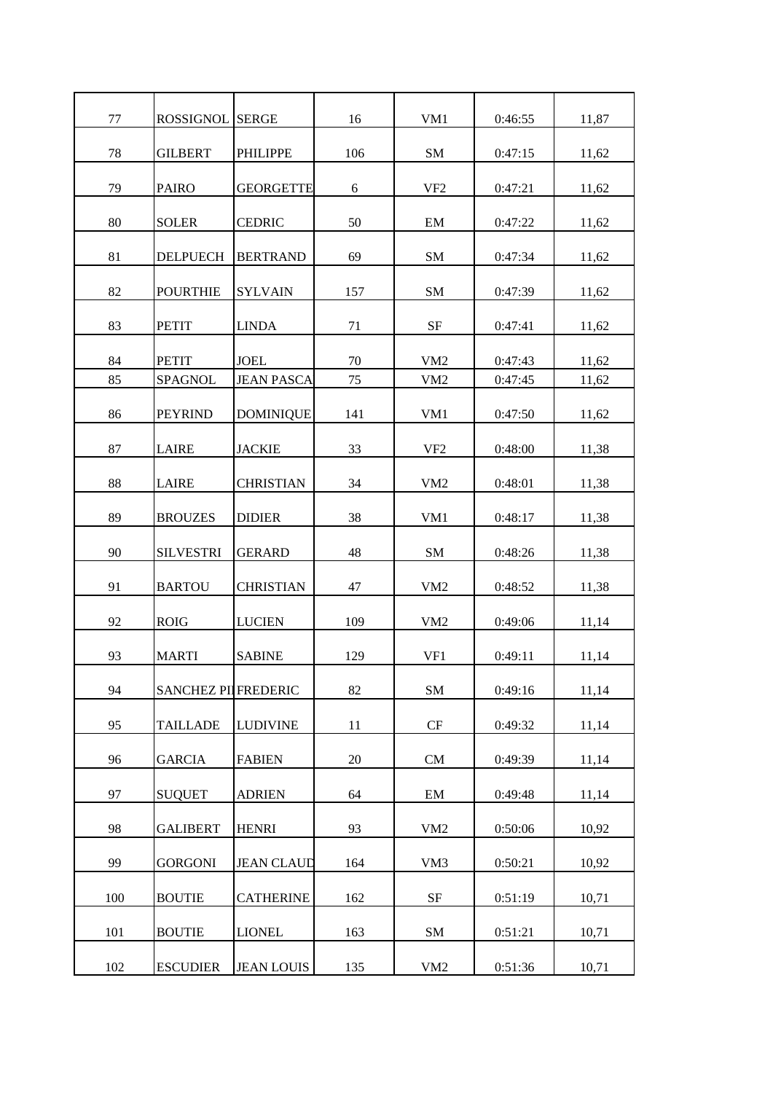| 77  | <b>ROSSIGNOL SERGE</b>      |                   | 16  | VM1             | 0:46:55 | 11,87 |
|-----|-----------------------------|-------------------|-----|-----------------|---------|-------|
| 78  | <b>GILBERT</b>              | <b>PHILIPPE</b>   | 106 | <b>SM</b>       | 0:47:15 | 11,62 |
| 79  | <b>PAIRO</b>                | <b>GEORGETTE</b>  | 6   | VF <sub>2</sub> | 0:47:21 | 11,62 |
| 80  | <b>SOLER</b>                | <b>CEDRIC</b>     | 50  | EM              | 0:47:22 | 11,62 |
| 81  | <b>DELPUECH</b>             | <b>BERTRAND</b>   | 69  | <b>SM</b>       | 0:47:34 | 11,62 |
| 82  | <b>POURTHIE</b>             | <b>SYLVAIN</b>    | 157 | <b>SM</b>       | 0:47:39 | 11,62 |
| 83  | <b>PETIT</b>                | <b>LINDA</b>      | 71  | $\rm{SF}$       | 0:47:41 | 11,62 |
| 84  | <b>PETIT</b>                | <b>JOEL</b>       | 70  | VM <sub>2</sub> | 0:47:43 | 11,62 |
| 85  | <b>SPAGNOL</b>              | <b>JEAN PASCA</b> | 75  | VM <sub>2</sub> | 0:47:45 | 11,62 |
| 86  | <b>PEYRIND</b>              | <b>DOMINIQUE</b>  | 141 | VM <sub>1</sub> | 0:47:50 | 11,62 |
| 87  | <b>LAIRE</b>                | <b>JACKIE</b>     | 33  | VF <sub>2</sub> | 0:48:00 | 11,38 |
| 88  | <b>LAIRE</b>                | <b>CHRISTIAN</b>  | 34  | VM <sub>2</sub> | 0:48:01 | 11,38 |
| 89  | <b>BROUZES</b>              | <b>DIDIER</b>     | 38  | VM1             | 0:48:17 | 11,38 |
| 90  | <b>SILVESTRI</b>            | <b>GERARD</b>     | 48  | <b>SM</b>       | 0:48:26 | 11,38 |
| 91  | <b>BARTOU</b>               | <b>CHRISTIAN</b>  | 47  | VM <sub>2</sub> | 0:48:52 | 11,38 |
| 92  | <b>ROIG</b>                 | <b>LUCIEN</b>     | 109 | VM <sub>2</sub> | 0:49:06 | 11,14 |
| 93  | <b>MARTI</b>                | <b>SABINE</b>     | 129 | VF1             | 0:49:11 | 11,14 |
| 94  | <b>SANCHEZ PIL FREDERIC</b> |                   | 82  | ${\bf SM}$      | 0:49:16 | 11,14 |
| 95  | <b>TAILLADE</b>             | <b>LUDIVINE</b>   | 11  | CF              | 0:49:32 | 11,14 |
| 96  | <b>GARCIA</b>               | <b>FABIEN</b>     | 20  | CM              | 0:49:39 | 11,14 |
| 97  | <b>SUQUET</b>               | <b>ADRIEN</b>     | 64  | EM              | 0:49:48 | 11,14 |
| 98  | <b>GALIBERT</b>             | <b>HENRI</b>      | 93  | VM <sub>2</sub> | 0:50:06 | 10,92 |
| 99  | <b>GORGONI</b>              | <b>JEAN CLAUD</b> | 164 | VM3             | 0:50:21 | 10,92 |
| 100 | <b>BOUTIE</b>               | <b>CATHERINE</b>  | 162 | $\rm{SF}$       | 0:51:19 | 10,71 |
| 101 | <b>BOUTIE</b>               | <b>LIONEL</b>     | 163 | SM              | 0:51:21 | 10,71 |
| 102 | <b>ESCUDIER</b>             | <b>JEAN LOUIS</b> | 135 | VM <sub>2</sub> | 0:51:36 | 10,71 |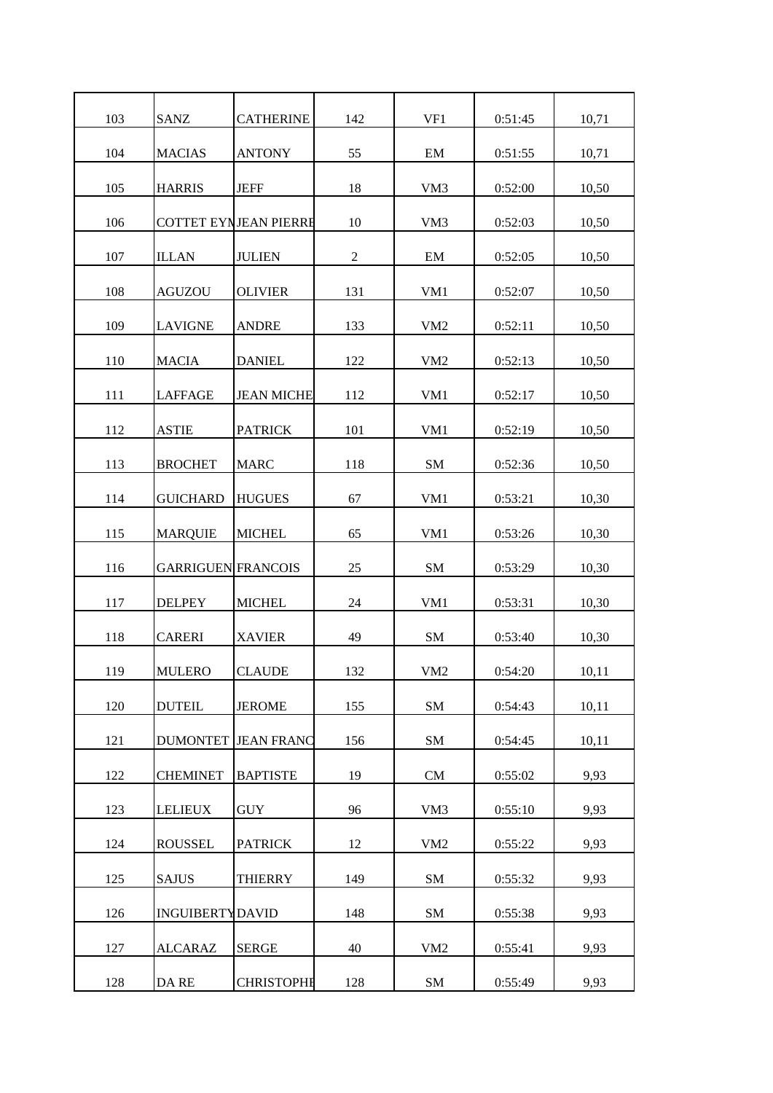| 103 | <b>SANZ</b>               | <b>CATHERINE</b>             | 142            | VF1             | 0:51:45 | 10,71 |
|-----|---------------------------|------------------------------|----------------|-----------------|---------|-------|
| 104 | <b>MACIAS</b>             | <b>ANTONY</b>                | 55             | EM              | 0:51:55 | 10,71 |
| 105 | <b>HARRIS</b>             | <b>JEFF</b>                  | 18             | VM3             | 0:52:00 | 10,50 |
| 106 |                           | <b>COTTET EYNJEAN PIERRE</b> | 10             | VM3             | 0:52:03 | 10,50 |
| 107 | <b>ILLAN</b>              | <b>JULIEN</b>                | $\overline{2}$ | EM              | 0:52:05 | 10,50 |
| 108 | AGUZOU                    | <b>OLIVIER</b>               | 131            | VM <sub>1</sub> | 0:52:07 | 10,50 |
| 109 | <b>LAVIGNE</b>            | <b>ANDRE</b>                 | 133            | VM <sub>2</sub> | 0:52:11 | 10,50 |
| 110 | <b>MACIA</b>              | <b>DANIEL</b>                | 122            | VM <sub>2</sub> | 0:52:13 | 10,50 |
| 111 | <b>LAFFAGE</b>            | <b>JEAN MICHE</b>            | 112            | VM1             | 0:52:17 | 10,50 |
| 112 | <b>ASTIE</b>              | <b>PATRICK</b>               | 101            | VM <sub>1</sub> | 0:52:19 | 10,50 |
| 113 | <b>BROCHET</b>            | <b>MARC</b>                  | 118            | SM              | 0:52:36 | 10,50 |
| 114 | <b>GUICHARD</b>           | <b>HUGUES</b>                | 67             | VM1             | 0:53:21 | 10,30 |
| 115 | <b>MARQUIE</b>            | <b>MICHEL</b>                | 65             | VM1             | 0:53:26 | 10,30 |
| 116 | <b>GARRIGUEN FRANCOIS</b> |                              | 25             | SM              | 0:53:29 | 10,30 |
| 117 | <b>DELPEY</b>             | <b>MICHEL</b>                | 24             | VM1             | 0:53:31 | 10,30 |
| 118 | <b>CARERI</b>             | <b>XAVIER</b>                | 49             | <b>SM</b>       | 0:53:40 | 10,30 |
| 119 | <b>MULERO</b>             | <b>CLAUDE</b>                | 132            | VM <sub>2</sub> | 0:54:20 | 10,11 |
| 120 | <b>DUTEIL</b>             | <b>JEROME</b>                | 155            | SM              | 0:54:43 | 10,11 |
| 121 | <b>DUMONTET</b>           | <b>JEAN FRANC</b>            | 156            | <b>SM</b>       | 0:54:45 | 10,11 |
| 122 | <b>CHEMINET</b>           | <b>BAPTISTE</b>              | 19             | CM              | 0:55:02 | 9,93  |
| 123 | <b>LELIEUX</b>            | <b>GUY</b>                   | 96             | VM3             | 0:55:10 | 9,93  |
| 124 | <b>ROUSSEL</b>            | <b>PATRICK</b>               | 12             | VM <sub>2</sub> | 0:55:22 | 9,93  |
| 125 |                           |                              | 149            | ${\bf SM}$      |         |       |
|     | <b>SAJUS</b>              | <b>THIERRY</b>               |                |                 | 0:55:32 | 9,93  |
| 126 | <b>INGUIBERTYDAVID</b>    |                              | 148            | <b>SM</b>       | 0:55:38 | 9,93  |
| 127 | <b>ALCARAZ</b>            | <b>SERGE</b>                 | 40             | VM <sub>2</sub> | 0:55:41 | 9,93  |
| 128 | DA RE                     | <b>CHRISTOPHE</b>            | 128            | ${\bf SM}$      | 0:55:49 | 9,93  |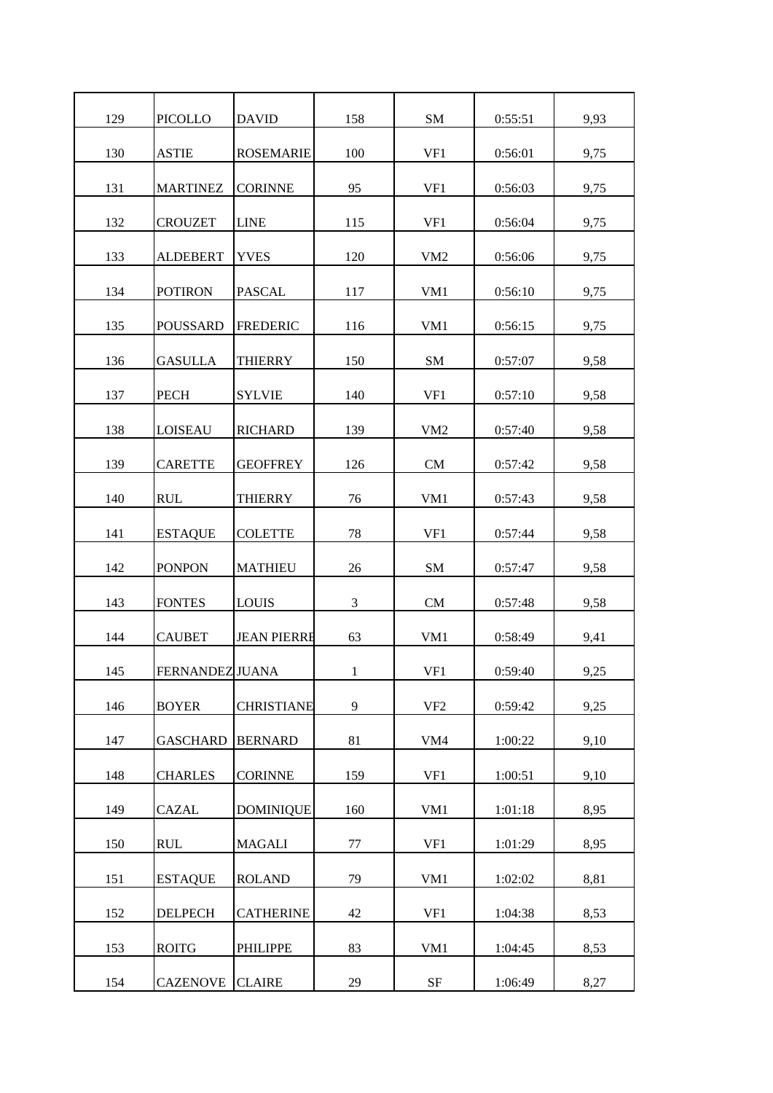| 129 | <b>PICOLLO</b>         | <b>DAVID</b>       | 158 | <b>SM</b>       | 0:55:51 | 9,93 |
|-----|------------------------|--------------------|-----|-----------------|---------|------|
| 130 | <b>ASTIE</b>           | <b>ROSEMARIE</b>   | 100 | VF1             | 0:56:01 | 9,75 |
| 131 | <b>MARTINEZ</b>        | <b>CORINNE</b>     | 95  | VF1             | 0:56:03 | 9,75 |
| 132 | <b>CROUZET</b>         | <b>LINE</b>        | 115 | VF1             | 0:56:04 | 9,75 |
| 133 | <b>ALDEBERT</b>        | <b>YVES</b>        | 120 | VM <sub>2</sub> | 0:56:06 | 9,75 |
| 134 | <b>POTIRON</b>         | <b>PASCAL</b>      | 117 | VM1             | 0:56:10 | 9,75 |
| 135 | <b>POUSSARD</b>        | <b>FREDERIC</b>    | 116 | VM1             | 0:56:15 | 9,75 |
| 136 | <b>GASULLA</b>         | <b>THIERRY</b>     | 150 | ${\bf SM}$      | 0:57:07 | 9,58 |
| 137 | <b>PECH</b>            | <b>SYLVIE</b>      | 140 | VF1             | 0:57:10 | 9,58 |
| 138 | <b>LOISEAU</b>         | <b>RICHARD</b>     | 139 | VM <sub>2</sub> | 0:57:40 | 9,58 |
| 139 | <b>CARETTE</b>         | <b>GEOFFREY</b>    | 126 | <b>CM</b>       | 0:57:42 | 9,58 |
| 140 | <b>RUL</b>             | <b>THIERRY</b>     | 76  | VM1             | 0:57:43 | 9,58 |
| 141 | <b>ESTAQUE</b>         | <b>COLETTE</b>     | 78  | VF1             | 0:57:44 | 9,58 |
| 142 | <b>PONPON</b>          | <b>MATHIEU</b>     | 26  | ${\bf SM}$      | 0:57:47 | 9,58 |
| 143 | <b>FONTES</b>          | <b>LOUIS</b>       | 3   | CM              | 0:57:48 | 9,58 |
| 144 | <b>CAUBET</b>          | <b>JEAN PIERRE</b> | 63  | VM1             | 0:58:49 | 9,41 |
| 145 | <b>FERNANDEZ JUANA</b> |                    | 1   | VF1             | 0:59:40 | 9,25 |
| 146 | <b>BOYER</b>           | <b>CHRISTIANE</b>  | 9   | VF <sub>2</sub> | 0:59:42 | 9,25 |
| 147 | <b>GASCHARD</b>        | <b>BERNARD</b>     | 81  | VM4             | 1:00:22 | 9,10 |
| 148 | <b>CHARLES</b>         | <b>CORINNE</b>     | 159 | VF1             | 1:00:51 | 9,10 |
| 149 | <b>CAZAL</b>           | <b>DOMINIQUE</b>   | 160 | VM1             | 1:01:18 | 8,95 |
| 150 | <b>RUL</b>             | <b>MAGALI</b>      | 77  | VF1             | 1:01:29 | 8,95 |
| 151 | <b>ESTAQUE</b>         | <b>ROLAND</b>      | 79  | VM1             | 1:02:02 | 8,81 |
| 152 | <b>DELPECH</b>         | <b>CATHERINE</b>   | 42  | VF1             | 1:04:38 | 8,53 |
| 153 | <b>ROITG</b>           | <b>PHILIPPE</b>    | 83  | VM1             | 1:04:45 | 8,53 |
| 154 | <b>CAZENOVE</b>        | <b>CLAIRE</b>      | 29  | $\rm SF$        | 1:06:49 | 8,27 |